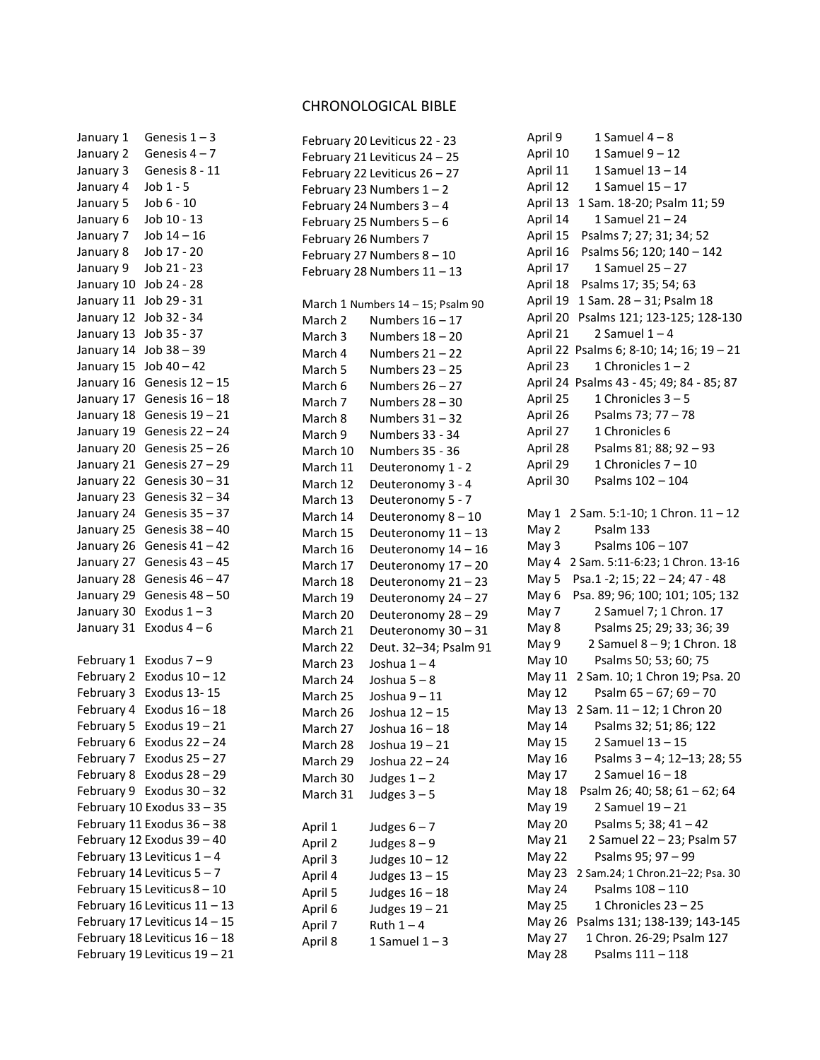## CHRONOLOGICAL BIBLE

| January 1  | Genesis $1 - 3$               |
|------------|-------------------------------|
| January 2  | Genesis $4 - 7$               |
| January 3  | Genesis 8 - 11                |
| January 4  | Job 1 - 5                     |
| January 5  | Job 6 - 10                    |
| January 6  | Job 10 - 13                   |
| January 7  | $Job 14 - 16$                 |
| January 8  | Job 17 - 20                   |
| January 9  | Job 21 - 23                   |
| January 10 | Job 24 - 28                   |
| January 11 | Job 29 - 31                   |
| January 12 | Job 32 - 34                   |
| January 13 | Job 35 - 37                   |
| January 14 | Job 38 - 39                   |
| January 15 | $Job 40 - 42$                 |
| January 16 | Genesis 12 - 15               |
| January 17 | Genesis $16 - 18$             |
| January 18 | Genesis $19 - 21$             |
| January 19 | Genesis 22 - 24               |
| January 20 | Genesis $25 - 26$             |
| January 21 | Genesis 27 - 29               |
| January 22 | Genesis 30 - 31               |
| January 23 | Genesis 32 - 34               |
| January 24 | Genesis 35 - 37               |
| January 25 | Genesis 38 - 40               |
| January 26 | Genesis $41 - 42$             |
| January 27 | Genesis 43 - 45               |
| January 28 | Genesis $46 - 47$             |
| January 29 | Genesis 48 - 50               |
| January 30 | Exodus $1 - 3$                |
| January 31 | Exodus $4-6$                  |
|            |                               |
| February 1 | Exodus $7 - 9$                |
| February 2 | Exodus $10 - 12$              |
| February 3 | Exodus 13-15                  |
| February 4 | Exodus $16 - 18$              |
| February 5 | Exodus $19 - 21$              |
| February 6 | Exodus 22 - 24                |
| February 7 | Exodus 25 - 27                |
| February 8 | Exodus 28 – 29                |
| February 9 | Exodus 30 - 32                |
|            | February 10 Exodus 33 - 35    |
|            | February 11 Exodus 36 - 38    |
|            | February 12 Exodus 39 - 40    |
|            | February 13 Leviticus 1 - 4   |
|            | February 14 Leviticus 5-7     |
|            | February 15 Leviticus 8 - 10  |
|            | February 16 Leviticus 11 - 13 |
|            | February 17 Leviticus 14 - 15 |
|            | February 18 Leviticus 16 - 18 |
|            | February 19 Leviticus 19 - 21 |

|                       | February 20 Leviticus 22 - 23     |
|-----------------------|-----------------------------------|
|                       | February 21 Leviticus 24 - 25     |
|                       | February 22 Leviticus 26 - 27     |
|                       | February 23 Numbers $1 - 2$       |
|                       | February 24 Numbers 3 - 4         |
|                       | February 25 Numbers 5 - 6         |
| February 26 Numbers 7 |                                   |
|                       | February 27 Numbers 8 - 10        |
|                       | February 28 Numbers 11 - 13       |
|                       |                                   |
|                       | March 1 Numbers 14 - 15; Psalm 90 |
| March 2               | Numbers $16 - 17$                 |
| March 3               | Numbers 18 – 20                   |
| March 4               | Numbers 21 – 22                   |
| March 5               | Numbers 23 – 25                   |
| March 6               | Numbers 26 – 27                   |
| March 7               | Numbers 28 - 30                   |
| March 8               | Numbers 31-32                     |
| March 9               | Numbers 33 - 34                   |
| March 10              | Numbers 35 - 36                   |
| March 11              | Deuteronomy 1 - 2                 |
| March 12              | Deuteronomy 3 - 4                 |
| March 13              | Deuteronomy 5 - 7                 |
| March 14              | Deuteronomy 8-10                  |
| March 15              | Deuteronomy 11 - 13               |
| March 16              | Deuteronomy 14 - 16               |
| March 17              | Deuteronomy 17 - 20               |
| March 18              | Deuteronomy 21 - 23               |
| March 19              | Deuteronomy 24 - 27               |
| March 20              | Deuteronomy 28 - 29               |
| March 21              | Deuteronomy 30 - 31               |
| March 22              | Deut. 32-34; Psalm 91             |
| March 23              | Joshua 1-4                        |
| March 24              | Joshua 5 – 8                      |
| March 25              | Joshua 9-11                       |
| March 26              | Joshua 12 - 15                    |
| March 27              | Joshua 16 - 18                    |
| March 28              | Joshua 19 - 21                    |
| March 29              | Joshua 22 - 24                    |
| March 30              | Judges $1 - 2$                    |
| March 31              | Judges $3-5$                      |
|                       |                                   |
| April 1               | Judges $6 - 7$                    |
| April 2               | Judges $8-9$                      |
| April 3               | Judges 10 - 12                    |
| April 4               | Judges 13 - 15                    |
| April 5               | Judges 16 - 18                    |
| April 6               | Judges 19 - 21                    |
| April 7               | Ruth $1 - 4$                      |
| April 8               | $1$ Samuel $1-3$                  |
|                       |                                   |

| April 9          | 1 Samuel $4-8$                        |
|------------------|---------------------------------------|
| April 10         | 1 Samuel 9 - 12                       |
| April 11         | 1 Samuel 13 - 14                      |
| April 12         | 1 Samuel 15 - 17                      |
| April 13         | 1 Sam. 18-20; Psalm 11; 59            |
| April 14         | 1 Samuel 21-24                        |
| April 15         | Psalms 7; 27; 31; 34; 52              |
| April 16         | Psalms 56; 120; 140 - 142             |
| April 17         | 1 Samuel 25 - 27                      |
| April 18         | Psalms 17; 35; 54; 63                 |
| April 19         | 1 Sam. 28 - 31; Psalm 18              |
| April 20         | Psalms 121; 123-125; 128-130          |
| April 21         | 2 Samuel $1 - 4$                      |
| April 22         | Psalms 6; 8-10; 14; 16; 19 - 21       |
| April 23         | 1 Chronicles 1-2                      |
| April 24         | Psalms 43 - 45; 49; 84 - 85; 87       |
| April 25         | 1 Chronicles $3 - 5$                  |
| April 26         | Psalms 73; 77 - 78                    |
| April 27         | 1 Chronicles 6                        |
| April 28         | Psalms 81; 88; 92 - 93                |
| April 29         | 1 Chronicles 7-10                     |
| April 30         | Psalms 102 - 104                      |
|                  |                                       |
| May 1            | 2 Sam. 5:1-10; 1 Chron. 11 - 12       |
| May 2            | Psalm 133                             |
| May 3            | Psalms 106 - 107                      |
| May 4            | 2 Sam. 5:11-6:23; 1 Chron. 13-16      |
| May 5            | Psa.1 -2; 15; 22 - 24; 47 - 48        |
| May 6            | Psa. 89; 96; 100; 101; 105; 132       |
| May 7            | 2 Samuel 7; 1 Chron. 17               |
| May 8            | Psalms 25; 29; 33; 36; 39             |
| May 9            | 2 Samuel 8 - 9; 1 Chron. 18           |
| May 10           | Psalms 50; 53; 60; 75                 |
|                  | May 11 2 Sam. 10; 1 Chron 19; Psa. 20 |
| May 12           | Psalm 65-67; 69-70                    |
|                  | May 13 2 Sam. 11-12; 1 Chron 20       |
| May 14           | Psalms 32; 51; 86; 122                |
| May 15           | 2 Samuel 13 - 15                      |
| May 16           | Psalms 3-4; 12-13; 28; 55             |
| May 17           | 2 Samuel 16 - 18                      |
| May 18           | Psalm 26; 40; 58; 61 - 62; 64         |
| May 19           | 2 Samuel 19 - 21                      |
| <b>May 20</b>    | Psalms 5; 38; 41 - 42                 |
|                  | 2 Samuel 22 - 23; Psalm 57            |
| May 21<br>May 22 | Psalms 95; 97 - 99                    |
|                  | 2 Sam.24; 1 Chron.21-22; Psa. 30      |
| May 23           | Psalms 108 - 110                      |
| May 24           |                                       |
| May 25           | 1 Chronicles 23 – 25                  |
| May 26           | Psalms 131; 138-139; 143-145          |
| May 27           | 1 Chron. 26-29; Psalm 127             |
| May 28           | Psalms 111 - 118                      |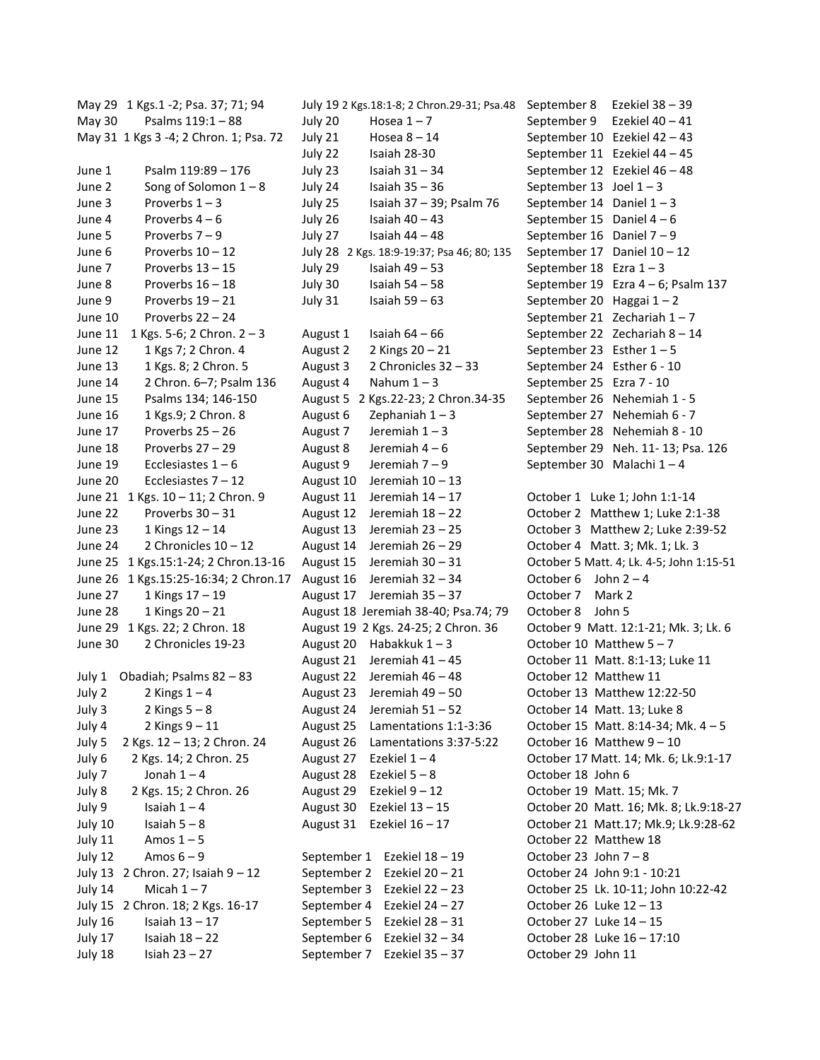May 29 1 Kgs.1 -2; Psa. 37; 71; 94 May 30 Psalms 119:1 – 88 May 31 1 Kgs 3 -4; 2 Chron. 1; Psa. 72 June 1 Psalm 119:89 – 176 June 2 Song of Solomon  $1 - 8$ June  $3$  Proverbs  $1 - 3$ June  $4$  Proverbs  $4-6$ June 5 Proverbs 7 – 9 June  $6$  Proverbs  $10 - 12$ June 7 Proverbs 13 - 15 June 8 Proverbs 16 – 18 June 9 Proverbs 19 – 21 June 10 Proverbs 22 – 24 June 11 1 Kgs. 5-6; 2 Chron. 2 – 3 June 12 1 Kgs 7; 2 Chron. 4 June 13 1 Kgs. 8; 2 Chron. 5 June 14 2 Chron. 6–7; Psalm 136 June 15 Psalms 134; 146-150 June 16 1 Kgs.9; 2 Chron. 8 June 17 Proverbs 25 – 26 June 18 Proverbs 27 – 29 June 19 Ecclesiastes 1 – 6 June 20 Ecclesiastes 7 – 12 June 21 1 Kgs. 10 – 11; 2 Chron. 9 June 22 Proverbs 30 – 31 June 23  $1$  Kings  $12 - 14$ June 24 2 Chronicles 10 - 12 June 25 1 Kgs.15:1-24; 2 Chron.13-16 June 26 1 Kgs.15:25-16:34; 2 Chron.17 June 27 1 Kings 17 – 19 June 28 1 Kings 20 - 21 June 29 1 Kgs. 22; 2 Chron. 18 June 30 2 Chronicles 19-23 July 1 Obadiah; Psalms 82 – 83 July 2  $2$  Kings  $1 - 4$ July 3  $2$  Kings  $5 - 8$ July 4  $2$  Kings  $9 - 11$ July 5 2 Kgs. 12 – 13; 2 Chron. 24 July 6 2 Kgs. 14; 2 Chron. 25 July 7 Jonah  $1 - 4$ July 8 2 Kgs. 15; 2 Chron. 26 July 9 Isaiah  $1 - 4$ July  $10$  Isaiah  $5 - 8$ July  $11$  Amos  $1 - 5$ July  $12$  Amos  $6 - 9$ July 13 2 Chron. 27; Isaiah 9 – 12 July  $14$  Micah  $1 - 7$ July 15 2 Chron. 18; 2 Kgs. 16-17 July  $16$  Isaiah  $13 - 17$ July  $17$  Isaiah  $18 - 22$ July 18 Isiah 23 – 27

July 19 2 Kgs.18:1-8; 2 Chron.29-31; Psa.48 July 20  $Hosea 1-7$ July 21  $Hosea 8-14$ July 22 Isaiah 28-30 July 23 Isaiah 31 – 34 July 24 Isaiah 35 – 36 July 25 Isaiah 37 – 39; Psalm 76 July 26 Isaiah 40 – 43 July 27 Isaiah 44 – 48 July 28 2 Kgs. 18:9-19:37; Psa 46; 80; 135 July 29 Isaiah 49 – 53 July 30 Isaiah 54 – 58 July 31 Isaiah 59 – 63 August 1 Isaiah  $64 - 66$ August 2  $2$  Kings  $20 - 21$ August 3 2 Chronicles 32 – 33 August 4 Nahum  $1 - 3$ August 5 2 Kgs.22-23; 2 Chron.34-35 August 6 Zephaniah  $1 - 3$ August 7 Jeremiah  $1 - 3$ August 8 Jeremiah 4 – 6 August 9 Jeremiah 7 – 9 August 10 Jeremiah 10 – 13 August 11 Jeremiah 14 – 17 August 12 Jeremiah 18 – 22 August 13 Jeremiah 23 – 25 August 14 Jeremiah 26 – 29 August 15 Jeremiah 30 – 31 August 16 Jeremiah 32 – 34 August 17 Jeremiah 35 – 37 August 18 Jeremiah 38-40; Psa.74; 79 August 19 2 Kgs. 24-25; 2 Chron. 36 August 20 Habakkuk  $1 - 3$ August 21 Jeremiah 41 – 45 August 22 Jeremiah 46 – 48 August 23 Jeremiah 49 – 50 August 24 Jeremiah 51 – 52 August 25 Lamentations 1:1-3:36 August 26 Lamentations 3:37-5:22 August 27 Ezekiel  $1 - 4$ August 28 Ezekiel 5 – 8 August 29 Ezekiel 9 – 12 August 30 Ezekiel 13 – 15 August 31 Ezekiel 16 – 17 September 1 Ezekiel 18 – 19 September 2 Ezekiel 20 – 21 September 3 Ezekiel 22 – 23 September 4 Ezekiel 24 – 27 September 5 Ezekiel 28 – 31 September 6 Ezekiel 32 – 34 September 7 Ezekiel 35 – 37

Ezekiel 38 – 39 September 9 Ezekiel 40 – 41 September 10 Ezekiel 42 – 43 September 11 Ezekiel 44 – 45 September 12 Ezekiel 46 – 48 September 13 Joel  $1 - 3$ September 14 Daniel  $1 - 3$ September 15 Daniel  $4 - 6$ September 16 Daniel 7 – 9 September 17 Daniel 10 – 12 September  $18$  Ezra  $1 - 3$ September 19 Ezra 4 – 6; Psalm 137 September 20 Haggai 1 – 2 September 21 Zechariah  $1 - 7$ September 22 Zechariah 8 – 14 September 23 Esther  $1 - 5$ September 24 Esther 6 - 10 September 25 Ezra 7 - 10 September 26 Nehemiah 1 - 5 September 27 Nehemiah 6 - 7 September 28 Nehemiah 8 - 10 September 29 Neh. 11- 13; Psa. 126 September 30 Malachi  $1 - 4$ October 1 Luke 1; John 1:1-14 October 2 Matthew 1; Luke 2:1-38 October 3 Matthew 2; Luke 2:39-52 October 4 Matt. 3; Mk. 1; Lk. 3 October 5 Matt. 4; Lk. 4-5; John 1:15-51 October  $6$  John  $2 - 4$ October 7 Mark 2 October 8 John 5 October 9 Matt. 12:1-21; Mk. 3; Lk. 6 October 10 Matthew 5 – 7 October 11 Matt. 8:1-13; Luke 11 October 12 Matthew 11 October 13 Matthew 12:22-50 October 14 Matt. 13; Luke 8 October 15 Matt. 8:14-34; Mk. 4 – 5 October 16 Matthew 9 – 10 October 17 Matt. 14; Mk. 6; Lk.9:1-17 October 18 John 6 October 19 Matt. 15; Mk. 7 October 20 Matt. 16; Mk. 8; Lk.9:18-27 October 21 Matt.17; Mk.9; Lk.9:28-62 October 22 Matthew 18 October 23 John 7 – 8 October 24 John 9:1 - 10:21 October 25 Lk. 10-11; John 10:22-42 October 26 Luke 12 – 13 October 27 Luke 14 – 15 October 28 Luke 16 – 17:10 October 29 John 11